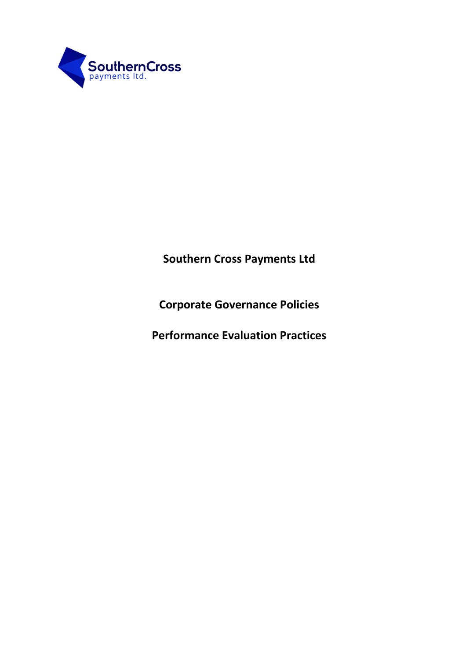

**Southern Cross Payments Ltd**

**Corporate Governance Policies**

**Performance Evaluation Practices**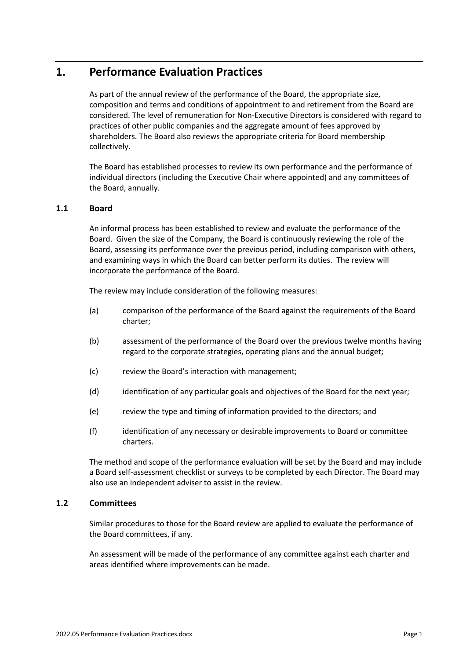# **1. Performance Evaluation Practices**

As part of the annual review of the performance of the Board, the appropriate size, composition and terms and conditions of appointment to and retirement from the Board are considered. The level of remuneration for Non-Executive Directors is considered with regard to practices of other public companies and the aggregate amount of fees approved by shareholders. The Board also reviews the appropriate criteria for Board membership collectively.

The Board has established processes to review its own performance and the performance of individual directors (including the Executive Chair where appointed) and any committees of the Board, annually.

# **1.1 Board**

An informal process has been established to review and evaluate the performance of the Board. Given the size of the Company, the Board is continuously reviewing the role of the Board, assessing its performance over the previous period, including comparison with others, and examining ways in which the Board can better perform its duties. The review will incorporate the performance of the Board.

The review may include consideration of the following measures:

- (a) comparison of the performance of the Board against the requirements of the Board charter;
- (b) assessment of the performance of the Board over the previous twelve months having regard to the corporate strategies, operating plans and the annual budget;
- (c) review the Board's interaction with management;
- (d) identification of any particular goals and objectives of the Board for the next year;
- (e) review the type and timing of information provided to the directors; and
- (f) identification of any necessary or desirable improvements to Board or committee charters.

The method and scope of the performance evaluation will be set by the Board and may include a Board self-assessment checklist or surveys to be completed by each Director. The Board may also use an independent adviser to assist in the review.

# **1.2 Committees**

Similar procedures to those for the Board review are applied to evaluate the performance of the Board committees, if any.

An assessment will be made of the performance of any committee against each charter and areas identified where improvements can be made.